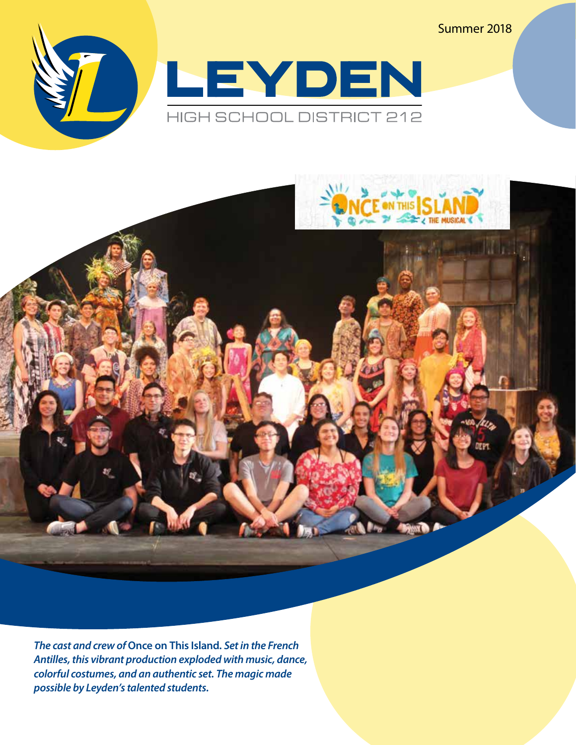Summer 2018





*The cast and crew of* **Once on This Island***. Set in the French Antilles, this vibrant production exploded with music, dance, colorful costumes, and an authentic set. The magic made possible by Leyden's talented students.*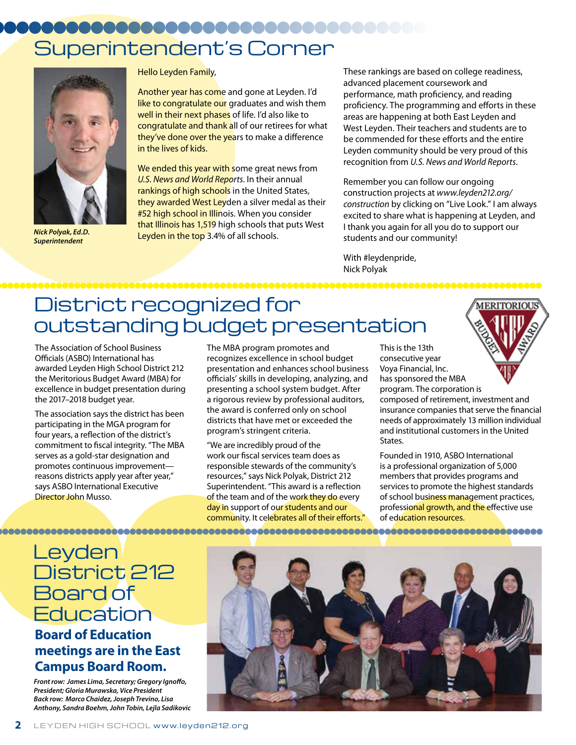# Superintendent's Corner



*Nick Polyak, Ed.D. Superintendent*

Hello Leyden Family,

Another year has come and gone at Leyden. I'd like to congratulate our graduates and wish them well in their next phases of life. I'd also like to congratulate and thank all of our retirees for what they've done over the years to make a difference in the lives of kids.

We ended this year with some great news from *U.S. News and World Reports*. In their annual rankings of high schools in the United States, they awarded West Leyden a silver medal as their #52 high school in Illinois. When you consider that Illinois has 1,519 high schools that puts West Leyden in the top 3.4% of all schools.

These rankings are based on college readiness, advanced placement coursework and performance, math proficiency, and reading proficiency. The programming and efforts in these areas are happening at both East Leyden and West Leyden. Their teachers and students are to be commended for these efforts and the entire Leyden community should be very proud of this recognition from *U.S. News and World Reports*.

Remember you can follow our ongoing construction projects at *www.leyden212.org/ construction* by clicking on "Live Look." I am always excited to share what is happening at Leyden, and I thank you again for all you do to support our students and our community!

With #leydenpride, Nick Polyak

## District recognized for outstanding budget presentation

The Association of School Business Officials (ASBO) International has awarded Leyden High School District 212 the Meritorious Budget Award (MBA) for excellence in budget presentation during the 2017–2018 budget year.

The association says the district has been participating in the MGA program for four years, a reflection of the district's commitment to fiscal integrity. "The MBA serves as a gold-star designation and promotes continuous improvement reasons districts apply year after year," says ASBO International Executive Director John Musso.

The MBA program promotes and recognizes excellence in school budget presentation and enhances school business officials' skills in developing, analyzing, and presenting a school system budget. After a rigorous review by professional auditors, the award is conferred only on school districts that have met or exceeded the program's stringent criteria.

"We are incredibly proud of the work our fiscal services team does as responsible stewards of the community's resources," says Nick Polyak, District 212 Superintendent. "This award is a reflection of the team and of the work they do every day in support of our students and our community. It celebrates all of their efforts." This is the 13th consecutive year Voya Financial, Inc. has sponsored the MBA program. The corporation is composed of retirement, investment and insurance companies that serve the financial needs of approximately 13 million individual and institutional customers in the United States.

MERITORIOU

Founded in 1910, ASBO International is a professional organization of 5,000 members that provides programs and services to promote the highest standards of school business management practices, professional growth, and the effective use of education resources.

### Leyden District 212 **Board of Education**

### **Board of Education meetings are in the East Campus Board Room.**

*Front row: James Lima, Secretary; Gregory Ignoffo, President; Gloria Murawska, Vice President Back row: Marco Chaidez, Joseph Trevino, Lisa Anthony, Sandra Boehm, John Tobin, Lejla Sadikovic*

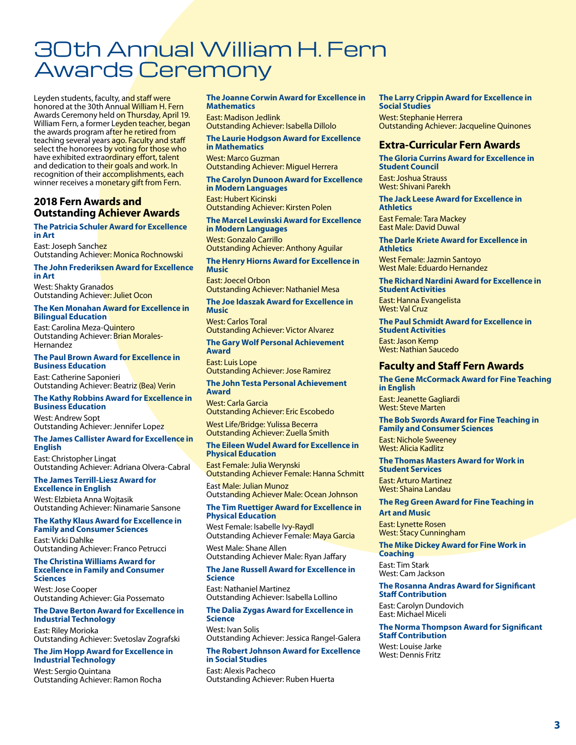## 30th Annual William H. Fern Awards Ceremony

Leyden students, faculty, and staff were honored at the 30th Annual William H. Fern Awards Ceremony held on Thursday, April 19. William Fern, a former Leyden teacher, began the awards program after he retired from teaching several years ago. Faculty and staff select the honorees by voting for those who have exhibited extraordinary effort, talent and dedication to their goals and work. In recognition of their **accomplishments**, each winner receives a monetary gift from Fern.

#### **2018 Fern Awards and Outstanding Achiever Awards**

#### **The Patricia Schuler Award for Excellence in Art**

East: Joseph Sanchez Outstanding Achiever: Monica Rochnowski

#### **The John Frederiksen Award for Excellence in Art**

West: Shakty Granados Outstanding Achiever: Juliet Ocon

#### **The Ken Monahan Award for Excellence in Bilingual Education**

East: Carolina Meza-Quintero Outstanding Achiever: Brian Morales-Hernandez

#### **The Paul Brown Award for Excellence in Business Education**

East: Catherine Saponieri Outstanding Achiever: Beatriz (Bea) Verin

#### **The Kathy Robbins Award for Excellence in Business Education**

West: Andrew Sopt Outstanding Achiever: Jennifer Lopez

#### **The James Callister Award for Excellence in English**

East: Christopher Lingat Outstanding Achiever: Adriana Olvera-Cabral

#### **The James Terrill-Liesz Award for Excellence in English**

West: Elzbieta Anna Wojtasik Outstanding Achiever: Ninamarie Sansone

#### **The Kathy Klaus Award for Excellence in Family and Consumer Sciences**

East: Vicki Dahlke Outstanding Achiever: Franco Petrucci

#### **The Christina Williams Award for Excellence in Family and Consumer Sciences**

West: Jose Cooper Outstanding Achiever: Gia Possemato

#### **The Dave Berton Award for Excellence in Industrial Technology**

East: Riley Morioka Outstanding Achiever: Svetoslav Zografski

#### **The Jim Hopp Award for Excellence in Industrial Technology**

West: Sergio Quintana Outstanding Achiever: Ramon Rocha

#### **The Joanne Corwin Award for Excellence in Mathematics**

East: Madison Jedlink Outstanding Achiever: Isabella Dillolo

#### **The Laurie Hodgson Award for Excellence in Mathematics** West: Marco Guzman

Outstanding Achiever: Miguel Herrera

#### **The Carolyn Dunoon Award for Excellence in Modern Languages** East: Hubert Kicinski

Outstanding Achiever: Kirsten Polen

#### **The Marcel Lewinski Award for Excellence in Modern Languages**

West: Gonzalo Carrillo Outstanding Achiever: Anthony Aguilar

#### **The Henry Hiorns Award for Excellence in Music**

East: Joecel Orbon Outstanding Achiever: Nathaniel Mesa

#### **The Joe Idaszak Award for Excellence in Music**

West: Carlos Toral Outstanding Achiever: Victor Alvarez

#### **The Gary Wolf Personal Achievement Award**

East: Luis Lope Outstanding Achiever: Jose Ramirez

#### **The John Testa Personal Achievement Award**

#### West: Carla Garcia Outstanding Achiever: Eric Escobedo

West Life/Bridge: Yulissa Becerra Outstanding Achiever: Zuella Smith

#### **The Eileen Wudel Award for Excellence in Physical Education**

East Female: Julia Werynski Outstanding Achiever Female: Hanna Schmitt

East Male: Julian Munoz Outstanding Achiever Male: Ocean Johnson

#### **The Tim Ruettiger Award for Excellence in Physical Education**

West Female: Isabelle Ivy-Raydl Outstanding Achiever Female: Maya Garcia

#### West Male: Shane Allen Outstanding Achiever Male: Ryan Jaffary

#### **The Jane Russell Award for Excellence in Science**

East: Nathaniel Martinez Outstanding Achiever: Isabella Lollino

#### **The Dalia Zygas Award for Excellence in Science**

West: Ivan Solis Outstanding Achiever: Jessica Rangel-Galera

#### **The Robert Johnson Award for Excellence in Social Studies**

East: Alexis Pacheco Outstanding Achiever: Ruben Huerta

#### **The Larry Crippin Award for Excellence in Social Studies**

West: Stephanie Herrera Outstanding Achiever: Jacqueline Quinones

#### **Extra-Curricular Fern Awards**

**The Gloria Currins Award for Excellence in Student Council**

East: Joshua Strauss West: Shivani Parekh

#### **The Jack Leese Award for Excellence in Athletics** East Female: Tara Mackey

East Male: David Duwal

#### **The Darle Kriete Award for Excellence in Athletics**

West Female: Jazmin Santoyo West Male: Eduardo Hernandez

#### **The Richard Nardini Award for Excellence in Student Activities**

East: Hanna Evangelista West: Val Cruz

#### **The Paul Schmidt Award for Excellence in Student Activities**

East: Jason Kemp West: Nathian Saucedo

#### **Faculty and Staff Fern Awards**

#### **The Gene McCormack Award for Fine Teaching in English**

East: Jeanette Gagliardi West: Steve Marten

#### **The Bob Swords Award for Fine Teaching in Family and Consumer Sciences** East: Nichole Sweeney

West: Alicia Kadlitz

#### **The Thomas Masters Award for Work in Student Services**

East: Arturo Martinez West: Shaina Landau

#### **The Reg Green Award for Fine Teaching in**

**Art and Music** East: Lynette Rosen West: Stacy Cunningham

#### **The Mike Dickey Award for Fine Work in Coaching**

East: Tim Stark West: Cam Jackson

#### **The Rosanna Andras Award for Significant Staff Contribution**

East: Carolyn Dundovich East: Michael Miceli

#### **The Norma Thompson Award for Significant Staff Contribution**

West: Louise Jarke West: Dennis Fritz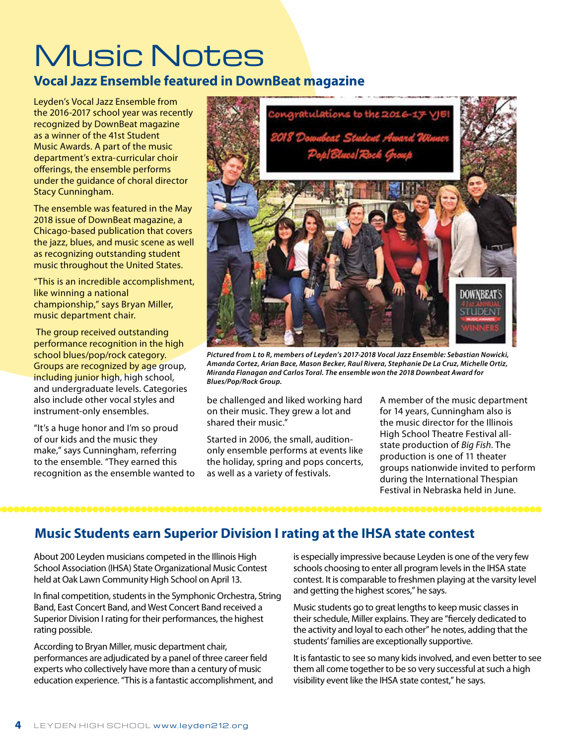# Music Notes

### **Vocal Jazz Ensemble featured in DownBeat magazine**

Leyden's Vocal Jazz Ensemble from the 2016-2017 school year was recently recognized by DownBeat magazine as a winner of the 41st Student Music Awards. A part of the music department's extra-curricular choir offerings, the ensemble performs under the guidance of choral director Stacy Cunningham.

The ensemble was featured in the May 2018 issue of DownBeat magazine, a Chicago-based publication that covers the jazz, blues, and music scene as well as recognizing outstanding student music throughout the United States.

"This is an incredible accomplishment, like winning a national championship," says Bryan Miller, music department chair.

 The group received outstanding performance recognition in the high school blues/pop/rock category. Groups are recognized by age group, including junior high, high school, and undergraduate levels. Categories also include other vocal styles and instrument-only ensembles.

"It's a huge honor and I'm so proud of our kids and the music they make," says Cunningham, referring to the ensemble. "They earned this recognition as the ensemble wanted to



*Pictured from L to R, members of Leyden's 2017-2018 Vocal Jazz Ensemble: Sebastian Nowicki, Amanda Cortez, Arian Bace, Mason Becker, Raul Rivera, Stephanie De La Cruz, Michelle Ortiz, Miranda Flanagan and Carlos Toral. The ensemble won the 2018 Downbeat Award for Blues/Pop/Rock Group.*

be challenged and liked working hard on their music. They grew a lot and shared their music."

Started in 2006, the small, auditiononly ensemble performs at events like the holiday, spring and pops concerts, as well as a variety of festivals.

A member of the music department for 14 years, Cunningham also is the music director for the Illinois High School Theatre Festival allstate production of *Big Fish*. The production is one of 11 theater groups nationwide invited to perform during the International Thespian Festival in Nebraska held in June.

### **Music Students earn Superior Division I rating at the IHSA state contest**

About 200 Leyden musicians competed in the Illinois High School Association (IHSA) State Organizational Music Contest held at Oak Lawn Community High School on April 13.

In final competition, students in the Symphonic Orchestra, String Band, East Concert Band, and West Concert Band received a Superior Division I rating for their performances, the highest rating possible.

According to Bryan Miller, music department chair, performances are adjudicated by a panel of three career field experts who collectively have more than a century of music education experience. "This is a fantastic accomplishment, and is especially impressive because Leyden is one of the very few schools choosing to enter all program levels in the IHSA state contest. It is comparable to freshmen playing at the varsity level and getting the highest scores," he says.

Music students go to great lengths to keep music classes in their schedule, Miller explains. They are "fiercely dedicated to the activity and loyal to each other" he notes, adding that the students' families are exceptionally supportive.

It is fantastic to see so many kids involved, and even better to see them all come together to be so very successful at such a high visibility event like the IHSA state contest," he says.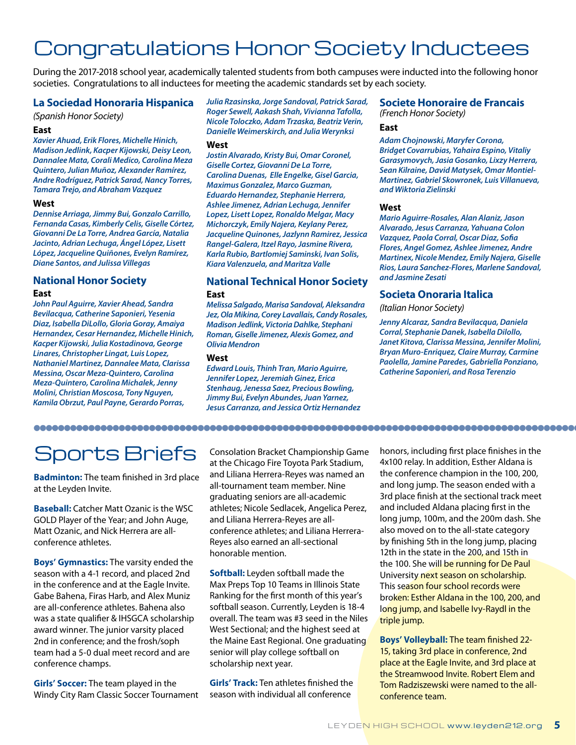## Congratulations Honor Society Inductees

During the 2017-2018 school year, academically talented students from both campuses were inducted into the following honor societies. Congratulations to all inductees for meeting the academic standards set by each society.

#### **La Sociedad Honoraria Hispanica**

*(Spanish Honor Society)*

#### **East**

*Xavier Ahuad, Erik Flores, Michelle Hinich, Madison Jedlink, Kacper Kijowski, Deisy Leon, Dannalee Mata, Corali Medico, Carolina Meza Quintero, Julian Muñoz, Alexander Ramírez, Andre Rodríguez, Patrick Sarad, Nancy Torres, Tamara Trejo, and Abraham Vazquez*

#### **West**

*Dennise Arriaga, Jimmy Bui, Gonzalo Carrillo, Fernanda Casas, Kimberly Celis, Giselle Córtez, Giovanni De La Torre, Andrea García, Natalia Jacinto, Adrian Lechuga, Ángel López, Lisett López, Jacqueline Quiñones, Evelyn Ramírez, Diane Santos, and Julissa Villegas*

#### **National Honor Society East**

*John Paul Aguirre, Xavier Ahead, Sandra Bevilacqua, Catherine Saponieri, Yesenia Diaz, Isabella DiLollo, Gloria Goray, Amaiya Hernandex, Cesar Hernandez, Michelle Hinich, Kacper Kijowski, Julia Kostadinova, George Linares, Christopher Lingat, Luis Lopez, Nathaniel Martinez, Dannalee Mata, Clarissa Messina, Oscar Meza-Quintero, Carolina Meza-Quintero, Carolina Michalek, Jenny Molini, Christian Moscosa, Tony Nguyen, Kamila Obrzut, Paul Payne, Gerardo Porras,* 

*Julia Rzasinska, Jorge Sandoval, Patrick Sarad, Roger Sewell, Aakash Shah, Vivianna Tafolla, Nicole Toloczko, Adam Trzaska, Beatriz Verin, Danielle Weimerskirch, and Julia Werynksi* 

#### **West**

*Jostin Alvarado, Kristy Bui, Omar Coronel, Giselle Cortez, Giovanni De La Torre, Carolina Duenas, Elle Engelke, Gisel Garcia, Maximus Gonzalez, Marco Guzman, Eduardo Hernandez, Stephanie Herrera, Ashlee Jimenez, Adrian Lechuga, Jennifer Lopez, Lisett Lopez, Ronaldo Melgar, Macy Michorczyk, Emily Najera, Keylany Perez, Jacqueline Quinones, Jazlynn Ramirez, Jessica Rangel-Galera, Itzel Rayo, Jasmine Rivera, Karla Rubio, Bartlomiej Saminski, Ivan Solis, Kiara Valenzuela, and Maritza Valle*

#### **National Technical Honor Society East**

*Melissa Salgado, Marisa Sandoval, Aleksandra Jez, Ola Mikina, Corey Lavallais, Candy Rosales, Madison Jedlink, Victoria Dahlke, Stephani Roman, Giselle Jimenez, Alexis Gomez, and Olivia Mendron*

#### **West**

*Edward Louis, Thinh Tran, Mario Aguirre, Jennifer Lopez, Jeremiah Ginez, Erica Stenhaug, Jenessa Saez, Precious Bowling, Jimmy Bui, Evelyn Abundes, Juan Yarnez, Jesus Carranza, and Jessica Ortiz Hernandez*

### **Societe Honoraire de Francais**

*(French Honor Society)*

#### **East**

*Adam Chojnowski, Maryfer Corona, Bridget Covarrubias, Yahaira Espino, Vitaliy Garasymovych, Jasia Gosanko, Lixzy Herrera, Sean Kilraine, David Matysek, Omar Montiel-Martinez, Gabriel Skowronek, Luis Villanueva, and Wiktoria Zielinski*

#### **West**

*Mario Aguirre-Rosales, Alan Alaniz, Jason Alvarado, Jesus Carranza, Yahuana Colon Vazquez, Paola Corral, Oscar Diaz, Sofia Flores, Angel Gomez, Ashlee Jimenez, Andre Martinex, Nicole Mendez, Emily Najera, Giselle Rios, Laura Sanchez-Flores, Marlene Sandoval, and Jasmine Zesati*

#### **Societa Onoraria Italica**

*(Italian Honor Society)*

*Jenny Alcaraz, Sandra Bevilacqua, Daniela Corral, Stephanie Danek, Isabella Dilollo, Janet Kitova, Clarissa Messina, Jennifer Molini, Bryan Muro-Enriquez, Claire Murray, Carmine Paolella, Jamine Paredes, Gabriella Ponziano, Catherine Saponieri, and Rosa Terenzio* 

## Sports Briefs

**Badminton:** The team finished in 3rd place at the Leyden Invite.

**Baseball:** Catcher Matt Ozanic is the WSC GOLD Player of the Year; and John Auge, Matt Ozanic, and Nick Herrera are allconference athletes.

**Boys' Gymnastics:** The varsity ended the season with a 4-1 record, and placed 2nd in the conference and at the Eagle Invite. Gabe Bahena, Firas Harb, and Alex Muniz are all-conference athletes. Bahena also was a state qualifier & IHSGCA scholarship award winner. The junior varsity placed 2nd in conference; and the frosh/soph team had a 5-0 dual meet record and are conference champs.

**Girls' Soccer:** The team played in the Windy City Ram Classic Soccer Tournament Consolation Bracket Championship Game at the Chicago Fire Toyota Park Stadium, and Liliana Herrera-Reyes was named an all-tournament team member. Nine graduating seniors are all-academic athletes; Nicole Sedlacek, Angelica Perez, and Liliana Herrera-Reyes are allconference athletes; and Liliana Herrera-Reyes also earned an all-sectional honorable mention.

**Softball:** Leyden softball made the Max Preps Top 10 Teams in Illinois State Ranking for the first month of this year's softball season. Currently, Leyden is 18-4 overall. The team was #3 seed in the Niles West Sectional; and the highest seed at the Maine East Regional. One graduating senior will play college softball on scholarship next year.

**Girls' Track:** Ten athletes finished the season with individual all conference

honors, including first place finishes in the 4x100 relay. In addition, Esther Aldana is the conference champion in the 100, 200, and long jump. The season ended with a 3rd place finish at the sectional track meet and included Aldana placing first in the long jump, 100m, and the 200m dash. She also moved on to the all-state category by finishing 5th in the long jump, placing 12th in the state in the 200, and 15th in the 100. She will be running for De Paul University next season on scholarship. This season four school records were broken: Esther Aldana in the 100, 200, and long jump, and Isabelle Ivy-Raydl in the triple jump.

**Boys' Volleyball:** The team finished 22- 15, taking 3rd place in conference, 2nd place at the Eagle Invite, and 3rd place at the Streamwood Invite. Robert Elem and Tom Radziszewski were named to the allconference team.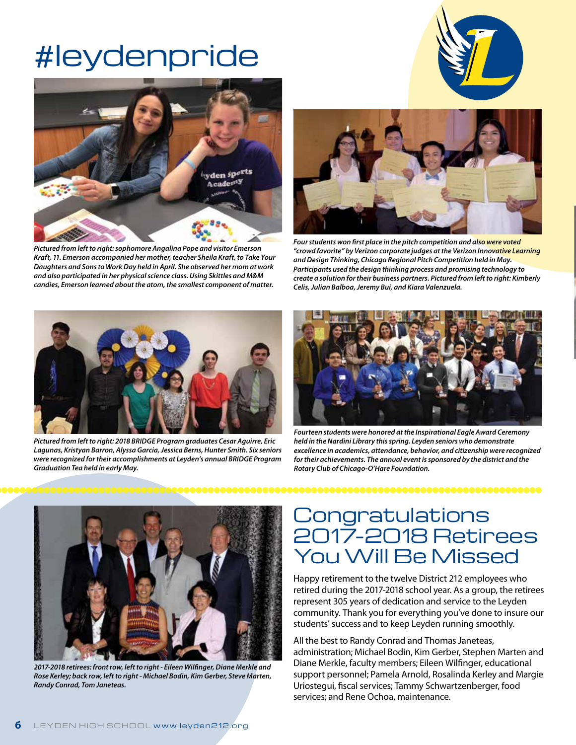# #leydenpride



*Pictured from left to right: sophomore Angalina Pope and visitor Emerson Kraft, 11. Emerson accompanied her mother, teacher Sheila Kraft, to Take Your Daughters and Sons to Work Day held in April. She observed her mom at work and also participated in her physical science class. Using Skittles and M&M candies, Emerson learned about the atom, the smallest component of matter.* 





*Four students won first place in the pitch competition and also were voted "crowd favorite" by Verizon corporate judges at the Verizon Innovative Learning and Design Thinking, Chicago Regional Pitch Competition held in May. Participants used the design thinking process and promising technology to create a solution for their business partners. Pictured from left to right: Kimberly Celis, Julian Balboa, Jeremy Bui, and Kiara Valenzuela.* 



*Pictured from left to right: 2018 BRIDGE Program graduates Cesar Aguirre, Eric Lagunas, Kristyan Barron, Alyssa Garcia, Jessica Berns, Hunter Smith. Six seniors were recognized for their accomplishments at Leyden's annual BRIDGE Program Graduation Tea held in early May.* 



*Fourteen students were honored at the Inspirational Eagle Award Ceremony held in the Nardini Library this spring. Leyden seniors who demonstrate excellence in academics, attendance, behavior, and citizenship were recognized for their achievements. The annual event is sponsored by the district and the Rotary Club of Chicago-O'Hare Foundation.*

000000000000000000000000000000000000



*2017-2018 retirees: front row, left to right - Eileen Wilfinger, Diane Merkle and Rose Kerley; back row, left to right - Michael Bodin, Kim Gerber, Steve Marten, Randy Conrad, Tom Janeteas.*

### **Congratulations** 2017-2018 Retirees You Will Be Missed

Happy retirement to the twelve District 212 employees who retired during the 2017-2018 school year. As a group, the retirees represent 305 years of dedication and service to the Leyden community. Thank you for everything you've done to insure our students' success and to keep Leyden running smoothly.

All the best to Randy Conrad and Thomas Janeteas, administration; Michael Bodin, Kim Gerber, Stephen Marten and Diane Merkle, faculty members; Eileen Wilfinger, educational support personnel; Pamela Arnold, Rosalinda Kerley and Margie Uriostegui, fiscal services; Tammy Schwartzenberger, food services; and Rene Ochoa, maintenance.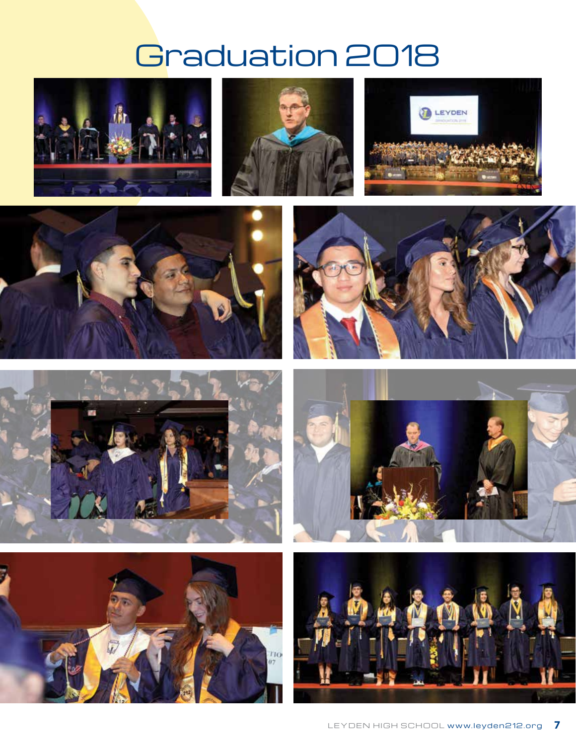# Graduation 2018